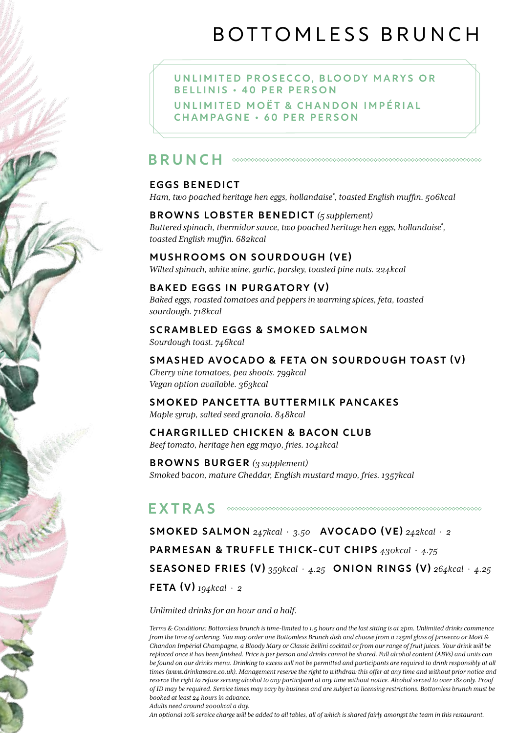# BOTTOMLESS BRUNCH

UNLIMITED PROSECCO, BLOODY MARYS OR B E L L I N I S + 40 P E R P E R S O N UNI I MITED MOËT & CHANDON I MPÉRIAI CHAMPAGNE • 60 PER PERSON

## BRUNCH

#### EGGS BENEDICT

*Ham, two poached heritage hen eggs, hollandaise\* , toasted English muffin. 506kcal*

### BROWNS LOBSTER BENEDICT *(5 supplement)*

*Buttered spinach, thermidor sauce, two poached heritage hen eggs, hollandaise\* , toasted English muffin. 682kcal*

#### MUSHROOMS ON SOURDOUGH (VE)

*Wilted spinach, white wine, garlic, parsley, toasted pine nuts. 224kcal*

#### BAKED EGGS IN PURGATORY (V)

*Baked eggs, roasted tomatoes and peppers in warming spices, feta, toasted sourdough. 718kcal*

#### SCRAMBLED EGGS & SMOKED SALMON

*Sourdough toast. 746kcal*

#### SMASHED AVOCADO & FETA ON SOURDOUGH TOAST (V)

*Cherry vine tomatoes, pea shoots. 799kcal Vegan option available. 363kcal*

#### SMOKED PANCETTA BUTTERMILK PANCAKES *Maple syrup, salted seed granola. 848kcal*

#### CHARGRILLED CHICKEN & BACON CLUB

*Beef tomato, heritage hen egg mayo, fries. 1041kcal*

BROWNS BURGER *(3 supplement) Smoked bacon, mature Cheddar, English mustard mayo, fries. 1357kcal*

#### EXTRAS

SMOKED SALMON *247kcal* · *3.50* AVOCADO (VE) *242kcal* · *2* PARMESAN & TRUFFLE THICK-CUT CHIPS *430kcal* · *4.75* SEASONED FRIES (V) *359kcal* · *4.25* ONION RINGS (V) *264kcal* · *4.25* FETA (V) *194kcal* · *2*

*Unlimited drinks for an hour and a half.* 

*Terms & Conditions: Bottomless brunch is time-limited to 1.5 hours and the last sitting is at 2pm. Unlimited drinks commence from the time of ordering. You may order one Bottomless Brunch dish and choose from a 125ml glass of prosecco or Moët & Chandon Impérial Champagne, a Bloody Mary or Classic Bellini cocktail or from our range of fruit juices. Your drink will be replaced once it has been finished. Price is per person and drinks cannot be shared. Full alcohol content (ABVs) and units can be found on our drinks menu. Drinking to excess will not be permitted and participants are required to drink responsibly at all times (www.drinkaware.co.uk). Management reserve the right to withdraw this offer at any time and without prior notice and reserve the right to refuse serving alcohol to any participant at any time without notice. Alcohol served to over 18s only. Proof of ID may be required. Service times may vary by business and are subject to licensing restrictions. Bottomless brunch must be booked at least 24 hours in advance.*

*Adults need around 2000kcal a day.* 

*An optional 10% service charge will be added to all tables, all of which is shared fairly amongst the team in this restaurant.*